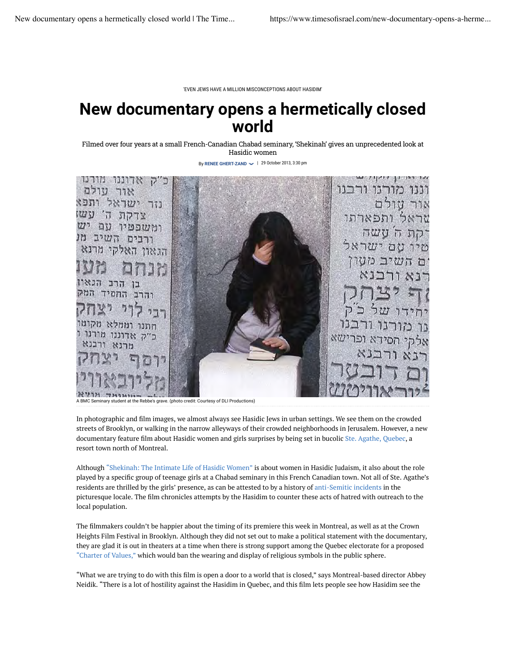'EVEN JEWS HAVE A MILLION MISCONCEPTIONS ABOUT HASIDIM'

## **New documentary opens a hermetically closed world**

Filmed over four years at a small French-Canadian Chabad seminary, 'Shekinah' gives an unprecedented look at Hasidic women

By RENEE GHERT-ZAND  $\sim$  | 29 October 2013, 3:30 pm



In photographic and film images, we almost always see Hasidic Jews in urban settings. We see them on the crowded streets of Brooklyn, or walking in the narrow alleyways of their crowded neighborhoods in Jerusalem. However, a new documentary feature film about Hasidic women and girls surprises by being set in bucolic Ste. Agathe, Quebec, a resort town north of Montreal.

Although "Shekinah: The Intimate Life of Hasidic Women" is about women in Hasidic Judaism, it also about the role played by a specific group of teenage girls at a Chabad seminary in this French Canadian town. Not all of Ste. Agathe's residents are thrilled by the girls' presence, as can be attested to by a history of anti-Semitic incidents in the picturesque locale. The film chronicles attempts by the Hasidim to counter these acts of hatred with outreach to the local population.

The filmmakers couldn't be happier about the timing of its premiere this week in Montreal, as well as at the Crown Heights Film Festival in Brooklyn. Although they did not set out to make a political statement with the documentary, they are glad it is out in theaters at a time when there is strong support among the Quebec electorate for a proposed "Charter of Values," which would ban the wearing and display of religious symbols in the public sphere.

"What we are trying to do with this film is open a door to a world that is closed," says Montreal-based director Abbey Neidik. "There is a lot of hostility against the Hasidim in Quebec, and this film lets people see how Hasidim see the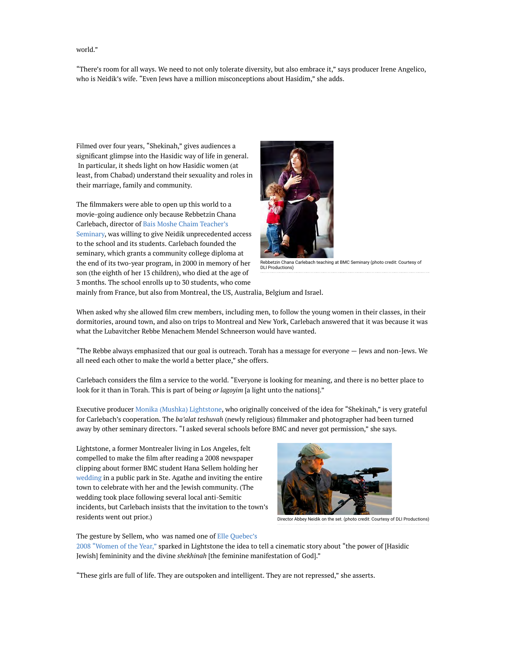## world."

"There's room for all ways. We need to not only tolerate diversity, but also embrace it," says producer Irene Angelico, who is Neidik's wife. "Even Jews have a million misconceptions about Hasidim," she adds.

Filmed over four years, "Shekinah," gives audiences a significant glimpse into the Hasidic way of life in general. In particular, it sheds light on how Hasidic women (at least, from Chabad) understand their sexuality and roles in their marriage, family and community.

The filmmakers were able to open up this world to a movie-going audience only because Rebbetzin Chana Carlebach, director of Bais Moshe Chaim Teacher's Seminary, was willing to give Neidik unprecedented access to the school and its students. Carlebach founded the seminary, which grants a community college diploma at the end of its two-year program, in 2000 in memory of her son (the eighth of her 13 children), who died at the age of 3 months. The school enrolls up to 30 students, who come



Rebbetzin Chana Carlebach teaching at BMC Seminary (photo credit: Courtesy of DLI Productions)

mainly from France, but also from Montreal, the US, Australia, Belgium and Israel.

When asked why she allowed film crew members, including men, to follow the young women in their classes, in their dormitories, around town, and also on trips to Montreal and New York, Carlebach answered that it was because it was what the Lubavitcher Rebbe Menachem Mendel Schneerson would have wanted.

"The Rebbe always emphasized that our goal is outreach. Torah has a message for everyone — Jews and non-Jews. We all need each other to make the world a better place," she offers.

Carlebach considers the film a service to the world. "Everyone is looking for meaning, and there is no better place to look for it than in Torah. This is part of being *or lagoyim* [a light unto the nations]."

Executive producer Monika (Mushka) Lightstone, who originally conceived of the idea for "Shekinah," is very grateful for Carlebach's cooperation. The *ba'alat teshuvah* (newly religious) filmmaker and photographer had been turned away by other seminary directors. "I asked several schools before BMC and never got permission," she says.

Lightstone, a former Montrealer living in Los Angeles, felt compelled to make the film after reading a 2008 newspaper clipping about former BMC student Hana Sellem holding her wedding in a public park in Ste. Agathe and inviting the entire town to celebrate with her and the Jewish community. (The wedding took place following several local anti-Semitic incidents, but Carlebach insists that the invitation to the town's residents went out prior.)



Director Abbey Neidik on the set. (photo credit: Courtesy of DLI Productions)

The gesture by Sellem, who was named one of Elle Quebec's 2008 "Women of the Year," sparked in Lightstone the idea to tell a cinematic story about "the power of [Hasidic Jewish] femininity and the divine *shekhinah* [the feminine manifestation of God]."

"These girls are full of life. They are outspoken and intelligent. They are not repressed," she asserts.